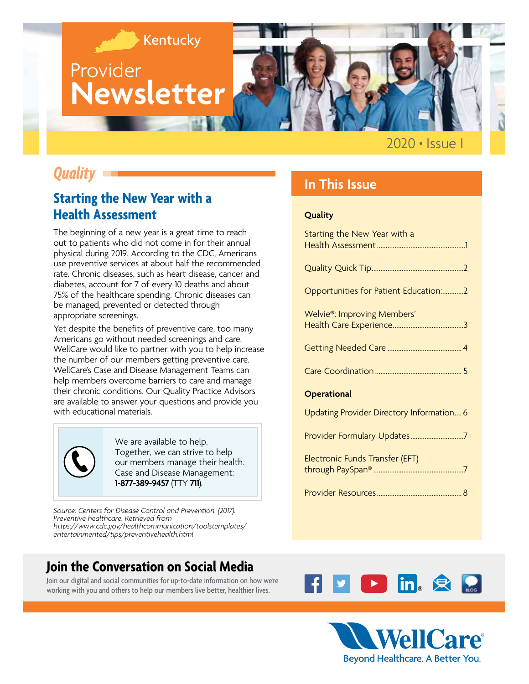

## *Quality*

### **Starting the New Year with a Health Assessment**

The beginning of a new year is a great time to reach out to patients who did not come in for their annual physical during 2019. According to the CDC, Americans use preventive services at about half the recommended rate. Chronic diseases, such as heart disease, cancer and diabetes, account for 7 of every 10 deaths and about 75% of the healthcare spending. Chronic diseases can be managed, prevented or detected through appropriate screenings.

Yet despite the benefits of preventive care, too many Americans go without needed screenings and care. WellCare would like to partner with you to help increase the number of our members getting preventive care. WellCare's Case and Disease Management Teams can help members overcome barriers to care and manage their chronic conditions. Our Quality Practice Advisors are available to answer your questions and provide you with educational materials.

We are available to help. Together, we can strive to help our members manage their health. Case and Disease Management: **1-877-389-9457** (TTY **711**).

*Source: Centers for Disease Control and Prevention. (2017). Preventive healthcare. Retrieved from [https://www.cdc.gov/healthcommunication/toolstemplates/](https://www.cdc.gov/healthcommunication/toolstemplates/entertainmented/tips/preventivehealth.html) entertainmented/tips/preventivehealth.html*

### **Join the Conversation on Social Media**

Join our digital and social communities for up-to-date information on how we're working with you and others to help our members live better, healthier lives.

### **In This Issue**

#### **Quality**

| Starting the New Year with a              |
|-------------------------------------------|
|                                           |
| Opportunities for Patient Education:2     |
| Welvie <sup>®</sup> : Improving Members'  |
|                                           |
|                                           |
| <b>Operational</b>                        |
| Updating Provider Directory Information 6 |
| Provider Formulary Updates7               |
| Electronic Funds Transfer (EFT)           |
|                                           |



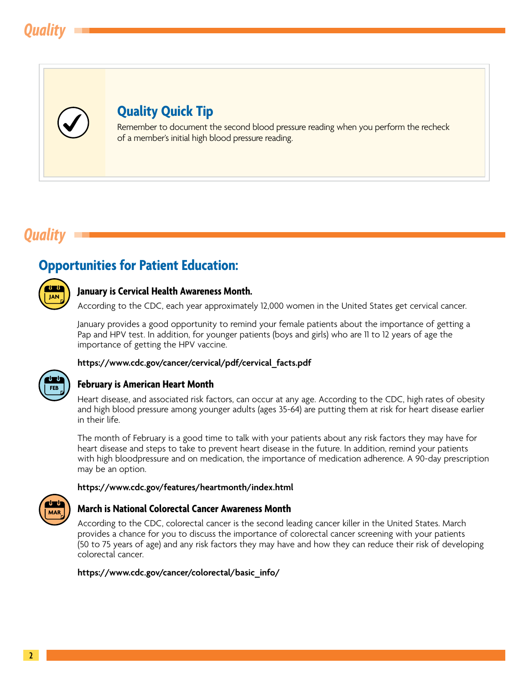<span id="page-1-0"></span>

### **Quality Quick Tip**

Remember to document the second blood pressure reading when you perform the recheck of a member's initial high blood pressure reading.

## *Quality*

## **Opportunities for Patient Education:**



#### **January is Cervical Health Awareness Month.**

According to the CDC, each year approximately 12,000 women in the United States get cervical cancer.

January provides a good opportunity to remind your female patients about the importance of getting a Pap and HPV test. In addition, for younger patients (boys and girls) who are 11 to 12 years of age the importance of getting the HPV vaccine.

#### **[https://www.cdc.gov/cancer/cervical/pdf/cervical\\_facts.pdf](https://www.cdc.gov/cancer/cervical/pdf/cervical_facts.pdf)**



#### **February is American Heart Month**

Heart disease, and associated risk factors, can occur at any age. According to the CDC, high rates of obesity and high blood pressure among younger adults (ages 35-64) are putting them at risk for heart disease earlier in their life.

The month of February is a good time to talk with your patients about any risk factors they may have for heart disease and steps to take to prevent heart disease in the future. In addition, remind your patients with high bloodpressure and on medication, the importance of medication adherence. A 90-day prescription may be an option.

#### **<https://www.cdc.gov/features/heartmonth/index.html>**



#### **March is National Colorectal Cancer Awareness Month**

According to the CDC, colorectal cancer is the second leading cancer killer in the United States. March provides a chance for you to discuss the importance of colorectal cancer screening with your patients (50 to 75 years of age) and any risk factors they may have and how they can reduce their risk of developing colorectal cancer.

**[https://www.cdc.gov/cancer/colorectal/basic\\_info/](https://www.cdc.gov/cancer/colorectal/basic_info/)**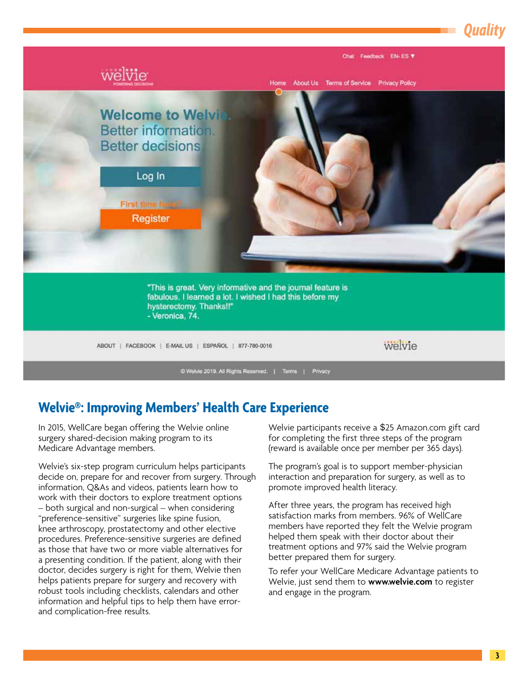<span id="page-2-0"></span>

## **Welvie®: Improving Members' Health Care Experience**

In 2015, WellCare began offering the Welvie online surgery shared-decision making program to its Medicare Advantage members.

Welvie's six-step program curriculum helps participants decide on, prepare for and recover from surgery. Through information, Q&As and videos, patients learn how to work with their doctors to explore treatment options – both surgical and non-surgical – when considering "preference-sensitive" surgeries like spine fusion, knee arthroscopy, prostatectomy and other elective procedures. Preference-sensitive surgeries are defined as those that have two or more viable alternatives for a presenting condition. If the patient, along with their doctor, decides surgery is right for them, Welvie then helps patients prepare for surgery and recovery with robust tools including checklists, calendars and other information and helpful tips to help them have errorand complication-free results.

Welvie participants receive a \$25 [Amazon.com](https://www.Amazon.com) gift card for completing the first three steps of the program (reward is available once per member per 365 days).

The program's goal is to support member-physician interaction and preparation for surgery, as well as to promote improved health literacy.

After three years, the program has received high satisfaction marks from members. 96% of WellCare members have reported they felt the Welvie program helped them speak with their doctor about their treatment options and 97% said the Welvie program better prepared them for surgery.

To refer your WellCare Medicare Advantage patients to Welvie, just send them to **<www.welvie.com>**to register and engage in the program.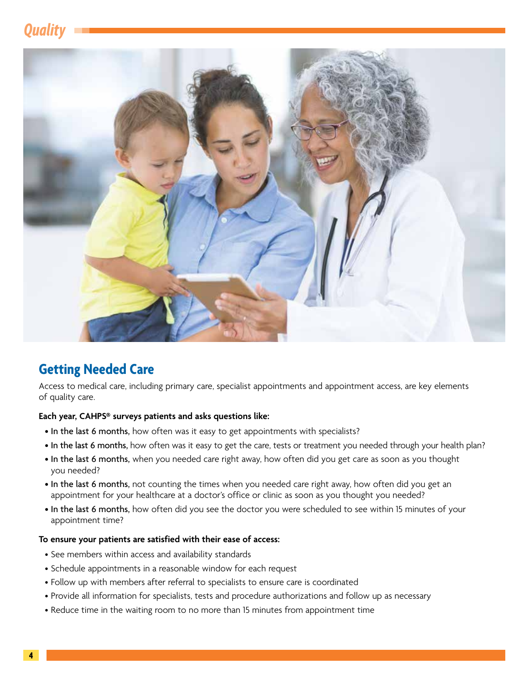# <span id="page-3-0"></span>*Quality*



## **Getting Needed Care**

Access to medical care, including primary care, specialist appointments and appointment access, are key elements of quality care.

#### **Each year, CAHPS® surveys patients and asks questions like:**

- In the last 6 months, how often was it easy to get appointments with specialists?
- In the last 6 months, how often was it easy to get the care, tests or treatment you needed through your health plan?
- In the last 6 months, when you needed care right away, how often did you get care as soon as you thought you needed?
- In the last 6 months, not counting the times when you needed care right away, how often did you get an appointment for your healthcare at a doctor's office or clinic as soon as you thought you needed?
- In the last 6 months, how often did you see the doctor you were scheduled to see within 15 minutes of your appointment time?

#### **To ensure your patients are satisfied with their ease of access:**

- See members within access and availability standards
- Schedule appointments in a reasonable window for each request
- Follow up with members after referral to specialists to ensure care is coordinated
- Provide all information for specialists, tests and procedure authorizations and follow up as necessary
- Reduce time in the waiting room to no more than 15 minutes from appointment time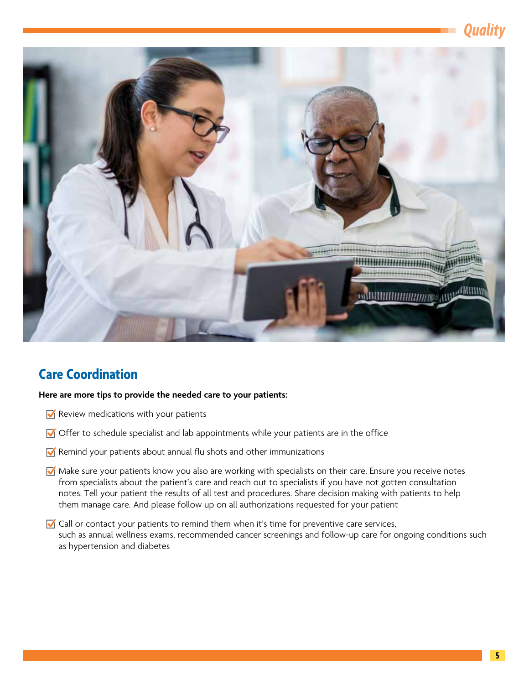# *Quality*

<span id="page-4-0"></span>

### **Care Coordination**

#### **Here are more tips to provide the needed care to your patients:**

- Review medications with your patients
- $\blacksquare$  Offer to schedule specialist and lab appointments while your patients are in the office
- $\blacksquare$  Remind your patients about annual flu shots and other immunizations
- Make sure your patients know you also are working with specialists on their care. Ensure you receive notes from specialists about the patient's care and reach out to specialists if you have not gotten consultation notes. Tell your patient the results of all test and procedures. Share decision making with patients to help them manage care. And please follow up on all authorizations requested for your patient
- Call or contact your patients to remind them when it's time for preventive care services, such as annual wellness exams, recommended cancer screenings and follow-up care for ongoing conditions such as hypertension and diabetes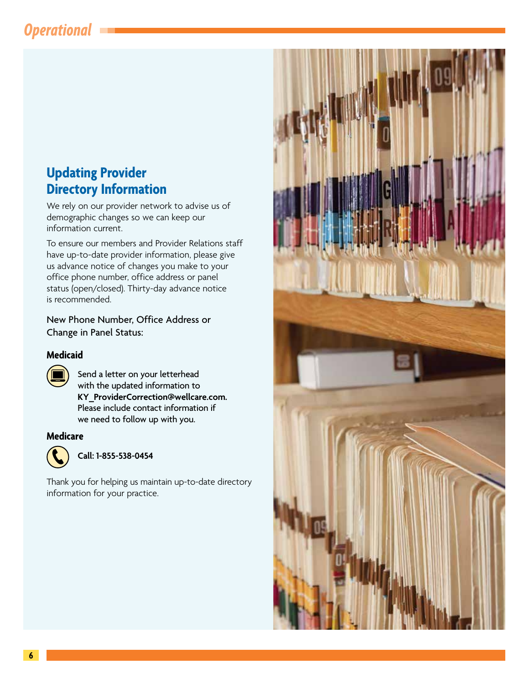# <span id="page-5-0"></span>*Operational*

### **Updating Provider Directory Information**

We rely on our provider network to advise us of demographic changes so we can keep our information current.

To ensure our members and Provider Relations staff have up-to-date provider information, please give us advance notice of changes you make to your office phone number, office address or panel status (open/closed). Thirty-day advance notice is recommended.

New Phone Number, Office Address or Change in Panel Status:

#### **Medicaid**

Send a letter on your letterhead with the updated information to **[KY\\_ProviderCorrection@wellcare.com.](mailto:KY_ProviderCorrection@wellcare.com)**  Please include contact information if we need to follow up with you.

#### **Medicare**



**Call: 1-855-538-0454** 

Thank you for helping us maintain up-to-date directory information for your practice.

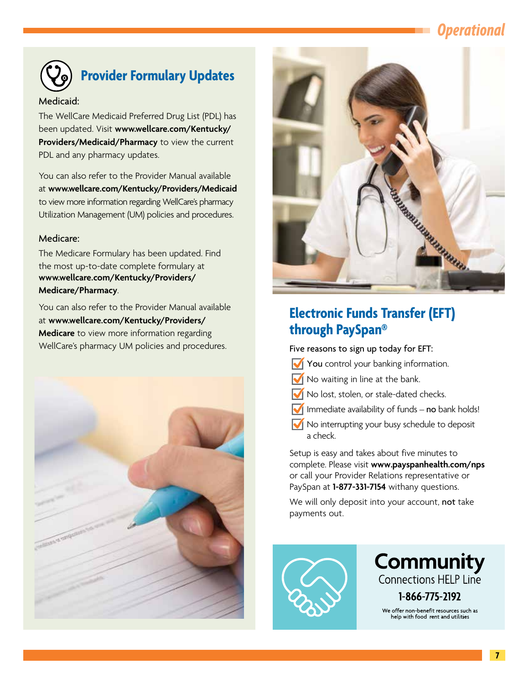# *Operational*

<span id="page-6-0"></span>

# **Provider Formulary Updates**

#### Medicaid:

The WellCare Medicaid Preferred Drug List (PDL) has been updated. Visit **[www.wellcare.com/Kentucky/](www.wellcare.com/Kentucky/Providers/Medicaid/Pharmacy)  [Providers/Medicaid/Pharmacy](www.wellcare.com/Kentucky/Providers/Medicaid/Pharmacy)** to view the current PDL and any pharmacy updates.

You can also refer to the Provider Manual available at **<www.wellcare.com/Kentucky/Providers/Medicaid>**  to view more information regarding WellCare's pharmacy Utilization Management (UM) policies and procedures.

#### Medicare:

The Medicare Formulary has been updated. Find the most up-to-date complete formulary at **[www.wellcare.com/Kentucky/Providers/](www.wellcare.com/Kentucky/Providers/Medicare/Pharmacy)  Medicare/Pharmacy**.

You can also refer to the Provider Manual available at **[www.wellcare.com/Kentucky/Providers/](www.wellcare.com/Kentucky/Providers/Medicare)  [Medicare](www.wellcare.com/Kentucky/Providers/Medicare)** to view more information regarding WellCare's pharmacy UM policies and procedures.





## **Electronic Funds Transfer (EFT) through PaySpan®**

Five reasons to sign up today for EFT:

- You control your banking information.
- $\sqrt{\phantom{a}}$  No waiting in line at the bank.
- No lost, stolen, or stale-dated checks.
- $\sqrt{\ }$  Immediate availability of funds no bank holds!
- No interrupting your busy schedule to deposit a check.

Setup is easy and takes about five minutes to complete. Please visit **<www.payspanhealth.com/nps>**  or call your Provider Relations representative or PaySpan at **1-877-331-7154** withany questions.

We will only deposit into your account, not take payments out.



**Community** Connections HELP Line 1-866-775-2192 We offer non-benefit resources such as<br>help with food rent and utilities